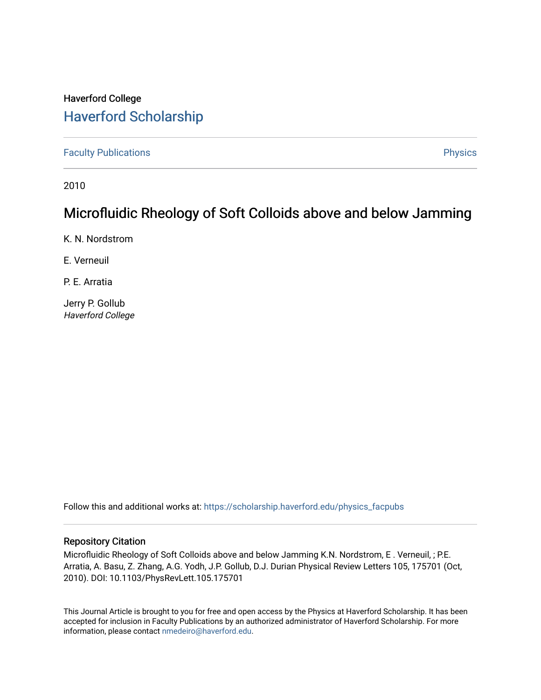## Haverford College [Haverford Scholarship](https://scholarship.haverford.edu/)

[Faculty Publications](https://scholarship.haverford.edu/physics_facpubs) **Physics** 

2010

## Microfluidic Rheology of Soft Colloids above and below Jamming

K. N. Nordstrom

E. Verneuil

P. E. Arratia

Jerry P. Gollub Haverford College

Follow this and additional works at: [https://scholarship.haverford.edu/physics\\_facpubs](https://scholarship.haverford.edu/physics_facpubs?utm_source=scholarship.haverford.edu%2Fphysics_facpubs%2F122&utm_medium=PDF&utm_campaign=PDFCoverPages) 

## Repository Citation

Microfluidic Rheology of Soft Colloids above and below Jamming K.N. Nordstrom, E . Verneuil, ; P.E. Arratia, A. Basu, Z. Zhang, A.G. Yodh, J.P. Gollub, D.J. Durian Physical Review Letters 105, 175701 (Oct, 2010). DOI: 10.1103/PhysRevLett.105.175701

This Journal Article is brought to you for free and open access by the Physics at Haverford Scholarship. It has been accepted for inclusion in Faculty Publications by an authorized administrator of Haverford Scholarship. For more information, please contact [nmedeiro@haverford.edu.](mailto:nmedeiro@haverford.edu)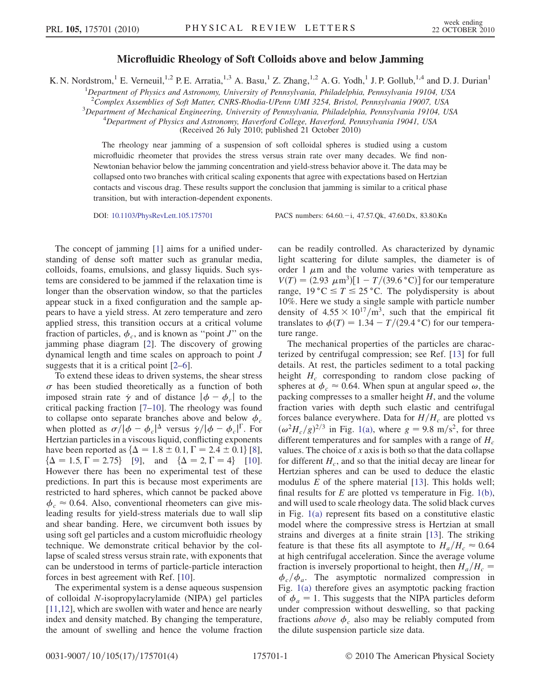## Microfluidic Rheology of Soft Colloids above and below Jamming

K. N. Nordstrom,<sup>1</sup> E. Verneuil,<sup>1,2</sup> P. E. Arratia,<sup>1,3</sup> A. Basu,<sup>1</sup> Z. Zhang,<sup>1,2</sup> A. G. Yodh,<sup>1</sup> J. P. Gollub,<sup>1,4</sup> and D. J. Durian<sup>1</sup>

<sup>1</sup>Department of Physics and Astronomy, University of Pennsylvania, Philadelphia, Pennsylvania 19104, USA

<sup>2</sup>Complex Assemblies of Soft Matter, CNRS-Rhodia-UPenn UMI 3254, Bristol, Pennsylvania 19007, USA<br><sup>3</sup>Department of Mechanical Engineering, University of Pennsylvania, Philadelphia, Pennsylvania 19104, U

 ${}^{3}$ Department of Mechanical Engineering, University of Pennsylvania, Philadelphia, Pennsylvania 19104, USA

 $^{4}$ Department of Physics and Astronomy, Haverford College, Haverford, Pennsylvania 19041, USA

(Received 26 July 2010; published 21 October 2010)

The rheology near jamming of a suspension of soft colloidal spheres is studied using a custom microfluidic rheometer that provides the stress versus strain rate over many decades. We find non-Newtonian behavior below the jamming concentration and yield-stress behavior above it. The data may be collapsed onto two branches with critical scaling exponents that agree with expectations based on Hertzian contacts and viscous drag. These results support the conclusion that jamming is similar to a critical phase transition, but with interaction-dependent exponents.

DOI: [10.1103/PhysRevLett.105.175701](http://dx.doi.org/10.1103/PhysRevLett.105.175701) PACS numbers: 64.60. - i, 47.57.Ok, 47.60.Dx, 83.80.Kn

The concept of jamming [\[1](#page-4-0)] aims for a unified understanding of dense soft matter such as granular media, colloids, foams, emulsions, and glassy liquids. Such systems are considered to be jammed if the relaxation time is longer than the observation window, so that the particles appear stuck in a fixed configuration and the sample appears to have a yield stress. At zero temperature and zero applied stress, this transition occurs at a critical volume fraction of particles,  $\phi_c$ , and is known as "point J" on the jamming phase diagram [[2](#page-4-1)]. The discovery of growing dynamical length and time scales on approach to point J suggests that it is a critical point [\[2](#page-4-1)–[6\]](#page-4-2).

To extend these ideas to driven systems, the shear stress  $\sigma$  has been studied theoretically as a function of both imposed strain rate  $\dot{\gamma}$  and of distance  $|\phi - \phi_c|$  to the critical packing fraction [\[7–](#page-4-3)[10](#page-4-4)]. The rheology was found to collapse onto separate branches above and below  $\phi_c$ when plotted as  $\sigma/|\phi - \phi_c|^2$  versus  $\dot{\gamma}/|\phi - \phi_c|^2$ . For<br>Hertzian particles in a viscous liquid conflicting exponents Hertzian particles in a viscous liquid, conflicting exponents have been reported as  $\{\Delta = 1.8 \pm 0.1, \Gamma = 2.4 \pm 0.1\}$  [[8\]](#page-4-5),<br> $\{\Lambda = 1.5 \Gamma = 2.75\}$  [9] and  $\{\Lambda = 2 \Gamma = 4\}$  [10]  ${\{\Delta = 1.5, \Gamma = 2.75\}}$  [\[9\]](#page-4-6), and  ${\{\Delta = 2, \Gamma = 4\}}$  [\[10\]](#page-4-4). However there has been no experimental test of these predictions. In part this is because most experiments are restricted to hard spheres, which cannot be packed above  $\phi_c \approx 0.64$ . Also, conventional rheometers can give misleading results for yield-stress materials due to wall slip and shear banding. Here, we circumvent both issues by using soft gel particles and a custom microfluidic rheology technique. We demonstrate critical behavior by the collapse of scaled stress versus strain rate, with exponents that can be understood in terms of particle-particle interaction forces in best agreement with Ref. [\[10\]](#page-4-4).

The experimental system is a dense aqueous suspension of colloidal N-isopropylacrylamide (NIPA) gel particles [\[11](#page-4-7)[,12\]](#page-4-8), which are swollen with water and hence are nearly index and density matched. By changing the temperature, the amount of swelling and hence the volume fraction can be readily controlled. As characterized by dynamic light scattering for dilute samples, the diameter is of order 1  $\mu$ m and the volume varies with temperature as  $V(T) = (2.93 \ \mu \text{m}^3) [1 - T/(39.6 \degree \text{C})]$  for our temperature range,  $19 \degree C \leq T \leq 25 \degree C$ . The polydispersity is about 10%. Here we study a single sample with particle number density of  $4.55 \times 10^{17}/\text{m}^3$ , such that the empirical fit translates to  $\phi(T) = 1.34 - T/(29.4 \degree C)$  for our temperature range.

The mechanical properties of the particles are characterized by centrifugal compression; see Ref. [\[13](#page-4-9)] for full details. At rest, the particles sediment to a total packing height  $H_c$  corresponding to random close packing of spheres at  $\phi_c \approx 0.64$ . When spun at angular speed  $\omega$ , the packing compresses to a smaller height  $H$ , and the volume fraction varies with depth such elastic and centrifugal forces balance everywhere. Data for  $H/H_c$  are plotted vs  $(\omega^2 H_c/g)^{2/3}$  in Fig. [1\(a\)](#page-2-0), where  $g = 9.8$  m/s<sup>2</sup>, for three different temperatures and for samples with a range of H different temperatures and for samples with a range of  $H_c$ values. The choice of  $x$  axis is both so that the data collapse for different  $H_c$ , and so that the initial decay are linear for Hertzian spheres and can be used to deduce the elastic modulus  $E$  of the sphere material [\[13\]](#page-4-9). This holds well; final results for  $E$  are plotted vs temperature in Fig. [1\(b\)](#page-2-0), and will used to scale rheology data. The solid black curves in Fig. [1\(a\)](#page-2-0) represent fits based on a constitutive elastic model where the compressive stress is Hertzian at small strains and diverges at a finite strain [[13](#page-4-9)]. The striking feature is that these fits all asymptote to  $H_a/H_c \approx 0.64$ at high centrifugal acceleration. Since the average volume fraction is inversely proportional to height, then  $H_a/H_c$  =  $\phi_c/\phi_a$ . The asymptotic normalized compression in Fig. [1\(a\)](#page-2-0) therefore gives an asymptotic packing fraction of  $\phi_a = 1$ . This suggests that the NIPA particles deform under compression without deswelling, so that packing fractions *above*  $\phi_c$  also may be reliably computed from the dilute suspension particle size data.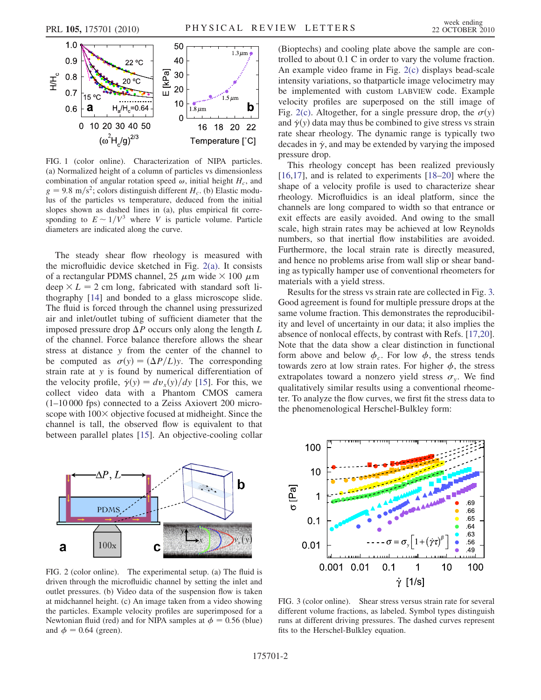<span id="page-2-3"></span>

<span id="page-2-0"></span>FIG. 1 (color online). Characterization of NIPA particles. (a) Normalized height of a column of particles vs dimensionless combination of angular rotation speed  $\omega$ , initial height  $H_c$ , and  $g = 9.8 \text{ m/s}^2$ ; colors distinguish different  $H_c$ . (b) Elastic modulus of the particles vs temperature, deduced from the initial slopes shown as dashed lines in (a), plus empirical fit corresponding to  $E \sim 1/V^3$  where V is particle volume. Particle diameters are indicated along the curve.

The steady shear flow rheology is measured with the microfluidic device sketched in Fig. [2\(a\).](#page-2-1) It consists of a rectangular PDMS channel, 25  $\mu$ m wide  $\times$  100  $\mu$ m deep  $\times L = 2$  cm long, fabricated with standard soft lithography [\[14\]](#page-4-10) and bonded to a glass microscope slide. The fluid is forced through the channel using pressurized air and inlet/outlet tubing of sufficient diameter that the imposed pressure drop  $\Delta P$  occurs only along the length L of the channel. Force balance therefore allows the shear stress at distance y from the center of the channel to be computed as  $\sigma(y) = (\Delta P/L)y$ . The corresponding strain rate at y is found by numerical differentiation of strain rate at y is found by numerical differentiation of the velocity profile,  $\dot{\gamma}(y) = dv_x(y)/dy$  [[15](#page-4-11)]. For this, we collect video data with a Phantom CMOS camera (1–10 000 fps) connected to a Zeiss Axiovert 200 microscope with  $100 \times$  objective focused at midheight. Since the channel is tall, the observed flow is equivalent to that between parallel plates [[15](#page-4-11)]. An objective-cooling collar



<span id="page-2-1"></span>FIG. 2 (color online). The experimental setup. (a) The fluid is driven through the microfluidic channel by setting the inlet and outlet pressures. (b) Video data of the suspension flow is taken at midchannel height. (c) An image taken from a video showing the particles. Example velocity profiles are superimposed for a Newtonian fluid (red) and for NIPA samples at  $\phi = 0.56$  (blue) and  $\phi = 0.64$  (green).

(Bioptechs) and cooling plate above the sample are controlled to about 0.1 C in order to vary the volume fraction. An example video frame in Fig. [2\(c\)](#page-2-1) displays bead-scale intensity variations, so thatparticle image velocimetry may be implemented with custom LABVIEW code. Example velocity profiles are superposed on the still image of Fig. [2\(c\).](#page-2-1) Altogether, for a single pressure drop, the  $\sigma(y)$ <br>and  $\dot{\gamma}(y)$  data may thus be combined to give stress vs strain and  $\dot{\gamma}(y)$  data may thus be combined to give stress vs strain rate shear rheology. The dynamic range is typically two decades in  $\dot{\gamma}$ , and may be extended by varying the imposed pressure drop.

This rheology concept has been realized previously [\[16](#page-4-12)[,17\]](#page-4-13), and is related to experiments [\[18–](#page-4-14)[20\]](#page-4-15) where the shape of a velocity profile is used to characterize shear rheology. Microfluidics is an ideal platform, since the channels are long compared to width so that entrance or exit effects are easily avoided. And owing to the small scale, high strain rates may be achieved at low Reynolds numbers, so that inertial flow instabilities are avoided. Furthermore, the local strain rate is directly measured, and hence no problems arise from wall slip or shear banding as typically hamper use of conventional rheometers for materials with a yield stress.

Results for the stress vs strain rate are collected in Fig. [3.](#page-2-2) Good agreement is found for multiple pressure drops at the same volume fraction. This demonstrates the reproducibility and level of uncertainty in our data; it also implies the absence of nonlocal effects, by contrast with Refs. [\[17,](#page-4-13)[20\]](#page-4-15). Note that the data show a clear distinction in functional form above and below  $\phi_c$ . For low  $\phi$ , the stress tends towards zero at low strain rates. For higher  $\phi$ , the stress extrapolates toward a nonzero yield stress  $\sigma_y$ . We find qualitatively similar results using a conventional rheometer. To analyze the flow curves, we first fit the stress data to the phenomenological Herschel-Bulkley form:

<span id="page-2-2"></span>

FIG. 3 (color online). Shear stress versus strain rate for several different volume fractions, as labeled. Symbol types distinguish runs at different driving pressures. The dashed curves represent fits to the Herschel-Bulkley equation.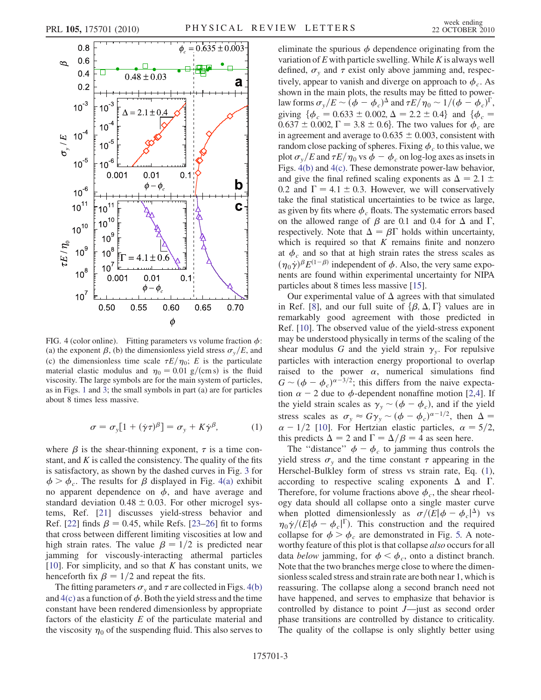

<span id="page-3-0"></span>FIG. 4 (color online). Fitting parameters vs volume fraction  $\phi$ : (a) the exponent  $\beta$ , (b) the dimensionless yield stress  $\sigma_y/E$ , and (c) the dimensionless time scale  $\tau E/\eta_0$ ; E is the particulate material elastic modulus and  $\eta_0 = 0.01$  g/(cm s) is the fluid viscosity. The large symbols are for the main system of particles, as in Figs. [1](#page-2-3) and [3](#page-2-2); the small symbols in part (a) are for particles about 8 times less massive.

$$
\sigma = \sigma_y [1 + (\dot{\gamma}\tau)^{\beta}] = \sigma_y + K \dot{\gamma}^{\beta}, \tag{1}
$$

<span id="page-3-1"></span>where  $\beta$  is the shear-thinning exponent,  $\tau$  is a time constant, and  $K$  is called the consistency. The quality of the fits is satisfactory, as shown by the dashed curves in Fig. [3](#page-2-2) for  $\phi > \phi_c$ . The results for  $\beta$  displayed in Fig. [4\(a\)](#page-3-0) exhibit no apparent dependence on  $\phi$ , and have average and standard deviation  $0.48 \pm 0.03$ . For other microgel sys-<br>tems. Ref. [21] discusses vield-stress behavior and tems, Ref. [\[21](#page-4-16)] discusses yield-stress behavior and Ref. [\[22\]](#page-4-17) finds  $\beta = 0.45$ , while Refs. [\[23](#page-4-18)–[26](#page-4-19)] fit to forms that cross between different limiting viscosities at low and high strain rates. The value  $\beta = 1/2$  is predicted near jamming for viscously-interacting athermal particles [\[10\]](#page-4-4). For simplicity, and so that  $K$  has constant units, we henceforth fix  $\beta = 1/2$  and repeat the fits.

The fitting parameters  $\sigma_y$  and  $\tau$  are collected in Figs. [4\(b\)](#page-3-0) and  $4(c)$  as a function of  $\phi$ . Both the yield stress and the time constant have been rendered dimensionless by appropriate factors of the elasticity  $E$  of the particulate material and the viscosity  $\eta_0$  of the suspending fluid. This also serves to eliminate the spurious  $\phi$  dependence originating from the variation of  $E$  with particle swelling. While  $K$  is always well defined,  $\sigma_y$  and  $\tau$  exist only above jamming and, respectively, appear to vanish and diverge on approach to  $\phi_c$ . As shown in the main plots, the results may be fitted to powerlaw forms  $\sigma_y/E \sim (\phi - \phi_c)^2$  and  $\tau E/\eta_0 \sim 1/(\phi - \phi_c)^T$ ,<br>giving  $\delta \phi = 0.633 + 0.002$ ,  $\Delta = 2.2 + 0.43$ , and  $\delta \phi =$ giving  $\{\phi_c = 0.633 \pm 0.002, \Delta = 2.2 \pm 0.4\}$  and  $\{\phi_c = 0.637 + 0.002$   $\Gamma = 3.8 + 0.6\}$  The two values for  $\phi$  are  $(0.637 \pm 0.002, \Gamma = 3.8 \pm 0.6)$ . The two values for  $\phi_c$  are in agreement and average to  $(0.635 \pm 0.003)$  consistent with in agreement and average to  $0.635 \pm 0.003$ , consistent with random close packing of spheres. Fixing  $\phi$  to this value, we random close packing of spheres. Fixing  $\phi_c$  to this value, we plot  $\sigma_y/E$  and  $\tau E/\eta_0$  vs  $\phi - \phi_c$  on log-log axes as insets in<br>Figs. 4(b) and 4(c). These demonstrate power-law behavior. Figs. [4\(b\)](#page-3-0) and [4\(c\)](#page-3-0). These demonstrate power-law behavior, and give the final refined scaling exponents as  $\Delta = 2.1 \pm 0.2$  and  $\Gamma = 4.1 \pm 0.3$  However, we will conservatively 0.2 and  $\Gamma = 4.1 \pm 0.3$ . However, we will conservatively take the final statistical uncertainties to be twice as large take the final statistical uncertainties to be twice as large, as given by fits where  $\phi_c$  floats. The systematic errors based on the allowed range of  $\beta$  are 0.1 and 0.4 for  $\Delta$  and  $\Gamma$ ,<br>respectively. Note that  $\Delta = \beta \Gamma$  holds within uncertainty respectively. Note that  $\Delta = \beta \Gamma$  holds within uncertainty, which is required so that K remains finite and nonzero which is required so that  $K$  remains finite and nonzero at  $\phi_c$  and so that at high strain rates the stress scales as  $(\eta_0 \dot{\gamma})^{\beta} E^{(1-\beta)}$  independent of  $\phi$ . Also, the very same exponents are found within experimental uncertainty for NIPA nents are found within experimental uncertainty for NIPA particles about 8 times less massive [\[15](#page-4-11)].

Our experimental value of  $\Delta$  agrees with that simulated in Ref. [[8](#page-4-5)], and our full suite of  $\{\beta, \Delta, \Gamma\}$  values are in<br>remarkably good, agreement, with those predicted in remarkably good agreement with those predicted in Ref. [\[10\]](#page-4-4). The observed value of the yield-stress exponent may be understood physically in terms of the scaling of the shear modulus G and the yield strain  $\gamma_v$ . For repulsive particles with interaction energy proportional to overlap raised to the power  $\alpha$ , numerical simulations find  $G \sim (\phi - \phi_c)^{\alpha - 3/2}$ ; this differs from the naive expecta-<br>tion  $\alpha = 2$  due to *d*-dependent ponaffine motion [2.4]. tion  $\alpha$  – [2](#page-4-1) due to  $\phi$ -dependent nonaffine motion [2[,4\]](#page-4-20). If the yield strain scales as  $\gamma_y \sim (\phi - \phi_c)$ , and if the yield stress scales as  $\sigma_y \approx G\gamma_y \sim (\phi - \phi_c)^{\alpha - 1/2}$ , then  $\Delta = \alpha - 1/2$ . [10] For Hertzian elastic particles  $\alpha = 5/2$ .  $\alpha$  - 1/2 [\[10\]](#page-4-4). For Hertzian elastic particles,  $\alpha$  = 5/2, this predicts  $\Delta = 2$  and  $\Gamma = \frac{\Delta}{\beta} = 4$  as seen here.<br>The "distance"  $\phi = \phi$  to jamming thus control

The "distance"  $\phi - \phi_c$  to jamming thus controls the yield stress  $\sigma_y$  and the time constant  $\tau$  appearing in the Herschel-Bulkley form of stress vs strain rate, Eq. ([1\)](#page-3-1), according to respective scaling exponents  $\Delta$  and  $\Gamma$ .<br>Therefore for volume fractions above  $\phi$  the shear rheol-Therefore, for volume fractions above  $\phi_c$ , the shear rheology data should all collapse onto a single master curve when plotted dimensionlessly as  $\sigma/(E|\phi - \phi_c|^2)$  vs<br>  $\sigma_0 \dot{\gamma}/(E|\phi - \phi_c|^2)$  This construction and the required  $\eta_0 \dot{\gamma}/(E|\phi - \phi_c|^{\Gamma})$ . This construction and the required collapse for  $\phi > \phi_c$  are demonstrated in Fig. 5. A notecollapse for  $\phi > \phi_c$  are demonstrated in Fig. [5.](#page-4-21) A noteworthy feature of this plot is that collapse also occurs for all data *below* jamming, for  $\phi < \phi_c$ , onto a distinct branch. Note that the two branches merge close to where the dimensionless scaled stress and strain rate are both near 1, which is reassuring. The collapse along a second branch need not have happened, and serves to emphasize that behavior is controlled by distance to point J—just as second order phase transitions are controlled by distance to criticality. The quality of the collapse is only slightly better using